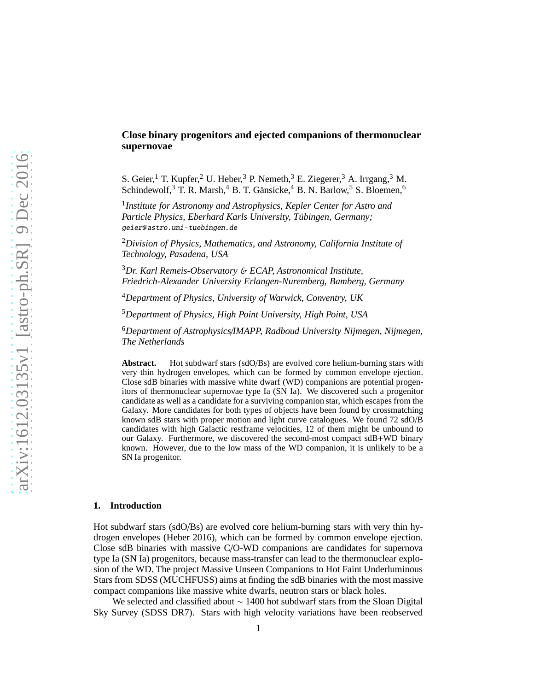# **Close binary progenitors and ejected companions of thermonuclear supernovae**

S. Geier,<sup>1</sup> T. Kupfer,<sup>2</sup> U. Heber,<sup>3</sup> P. Nemeth,<sup>3</sup> E. Ziegerer,<sup>3</sup> A. Irrgang,<sup>3</sup> M. Schindewolf,<sup>3</sup> T. R. Marsh,<sup>4</sup> B. T. Gänsicke,<sup>4</sup> B. N. Barlow,<sup>5</sup> S. Bloemen,<sup>6</sup>

1 *Institute for Astronomy and Astrophysics, Kepler Center for Astro and Particle Physics, Eberhard Karls University, Tübingen, Germany;* geier@astro.uni-tuebingen.de

<sup>2</sup>*Division of Physics, Mathematics, and Astronomy, California Institute of Technology, Pasadena, USA*

<sup>3</sup>*Dr. Karl Remeis-Observatory* & *ECAP, Astronomical Institute, Friedrich-Alexander University Erlangen-Nuremberg, Bamberg, Germany*

<sup>4</sup>*Department of Physics, University of Warwick, Conventry, UK*

<sup>5</sup>*Department of Physics, High Point University, High Point, USA*

<sup>6</sup>*Department of Astrophysics*/*IMAPP, Radboud University Nijmegen, Nijmegen, The Netherlands*

**Abstract.** Hot subdwarf stars (sdO/Bs) are evolved core helium-burning stars with very thin hydrogen envelopes, which can be formed by common envelope ejection. Close sdB binaries with massive white dwarf (WD) companions are potential progenitors of thermonuclear supernovae type Ia (SN Ia). We discovered such a progenitor candidate as well as a candidate for a surviving companion star, which escapes from the Galaxy. More candidates for both types of objects have been found by crossmatching known sdB stars with proper motion and light curve catalogues. We found 72 sdO/B candidates with high Galactic restframe velocities, 12 of them might be unbound to our Galaxy. Furthermore, we discovered the second-most compact sdB+WD binary known. However, due to the low mass of the WD companion, it is unlikely to be a SN Ia progenitor.

### **1. Introduction**

Hot subdwarf stars (sdO/Bs) are evolved core helium-burning stars with very thin hydrogen envelopes (Heber 2016), which can be formed by common envelope ejection. Close sdB binaries with massive C/O-WD companions are candidates for supernova type Ia (SN Ia) progenitors, because mass-transfer can lead to the thermonuclear explosion of the WD. The project Massive Unseen Companions to Hot Faint Underluminous Stars from SDSS (MUCHFUSS) aims at finding the sdB binaries with the most massive compact companions like massive white dwarfs, neutron stars or black holes.

We selected and classified about ∼ 1400 hot subdwarf stars from the Sloan Digital Sky Survey (SDSS DR7). Stars with high velocity variations have been reobserved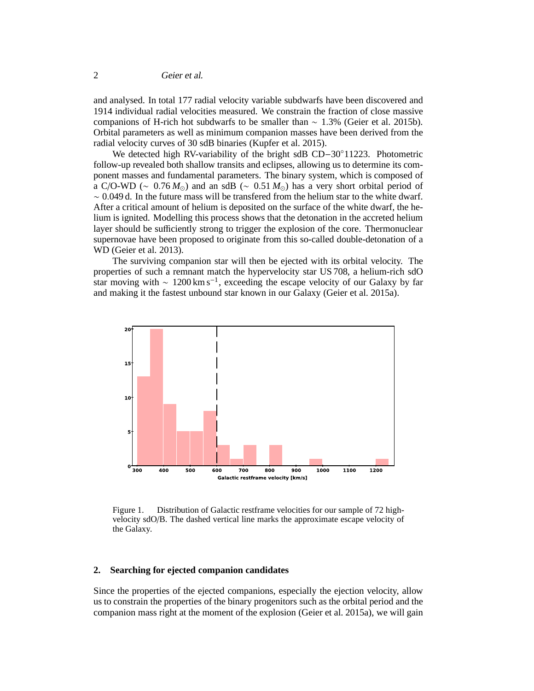and analysed. In total 177 radial velocity variable subdwarfs have been discovered and 1914 individual radial velocities measured. We constrain the fraction of close massive companions of H-rich hot subdwarfs to be smaller than ∼ 1.3% (Geier et al. 2015b). Orbital parameters as well as minimum companion masses have been derived from the radial velocity curves of 30 sdB binaries (Kupfer et al. 2015).

We detected high RV-variability of the bright sdB CD−30◦11223. Photometric follow-up revealed both shallow transits and eclipses, allowing us to determine its component masses and fundamental parameters. The binary system, which is composed of a C/O-WD ( $\sim$  0.76  $M_{\odot}$ ) and an sdB ( $\sim$  0.51  $M_{\odot}$ ) has a very short orbital period of ∼ 0.049 d. In the future mass will be transfered from the helium star to the white dwarf. After a critical amount of helium is deposited on the surface of the white dwarf, the helium is ignited. Modelling this process shows that the detonation in the accreted helium layer should be sufficiently strong to trigger the explosion of the core. Thermonuclear supernovae have been proposed to originate from this so-called double-detonation of a WD (Geier et al. 2013).

The surviving companion star will then be ejected with its orbital velocity. The properties of such a remnant match the hypervelocity star US 708, a helium-rich sdO star moving with  $\sim 1200 \,\mathrm{km \, s^{-1}}$ , exceeding the escape velocity of our Galaxy by far and making it the fastest unbound star known in our Galaxy (Geier et al. 2015a).



Figure 1. Distribution of Galactic restframe velocities for our sample of 72 highvelocity sdO/B. The dashed vertical line marks the approximate escape velocity of the Galaxy.

### **2. Searching for ejected companion candidates**

Since the properties of the ejected companions, especially the ejection velocity, allow us to constrain the properties of the binary progenitors such as the orbital period and the companion mass right at the moment of the explosion (Geier et al. 2015a), we will gain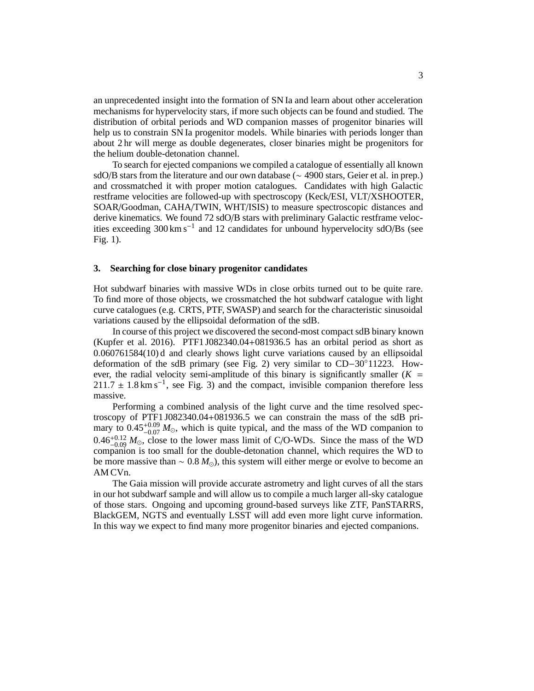an unprecedented insight into the formation of SN Ia and learn about other acceleration mechanisms for hypervelocity stars, if more such objects can be found and studied. The distribution of orbital periods and WD companion masses of progenitor binaries will help us to constrain SN Ia progenitor models. While binaries with periods longer than about 2 hr will merge as double degenerates, closer binaries might be progenitors for the helium double-detonation channel.

To search for ejected companions we compiled a catalogue of essentially all known sdO/B stars from the literature and our own database (∼ 4900 stars, Geier et al. in prep.) and crossmatched it with proper motion catalogues. Candidates with high Galactic restframe velocities are followed-up with spectroscopy (Keck/ESI, VLT/XSHOOTER, SOAR/Goodman, CAHA/TWIN, WHT/ISIS) to measure spectroscopic distances and derive kinematics. We found 72 sdO/B stars with preliminary Galactic restframe velocities exceeding 300 km s−<sup>1</sup> and 12 candidates for unbound hypervelocity sdO/Bs (see Fig. 1).

### **3. Searching for close binary progenitor candidates**

Hot subdwarf binaries with massive WDs in close orbits turned out to be quite rare. To find more of those objects, we crossmatched the hot subdwarf catalogue with light curve catalogues (e.g. CRTS, PTF, SWASP) and search for the characteristic sinusoidal variations caused by the ellipsoidal deformation of the sdB.

In course of this project we discovered the second-most compact sdB binary known (Kupfer et al. 2016). PTF1 J082340.04+081936.5 has an orbital period as short as 0.060761584(10) d and clearly shows light curve variations caused by an ellipsoidal deformation of the sdB primary (see Fig. 2) very similar to CD−30◦11223. However, the radial velocity semi-amplitude of this binary is significantly smaller  $(K =$  $211.7 \pm 1.8$  km s<sup>-1</sup>, see Fig. 3) and the compact, invisible companion therefore less massive.

Performing a combined analysis of the light curve and the time resolved spectroscopy of PTF1 J082340.04+081936.5 we can constrain the mass of the sdB primary to  $0.45_{-0.07}^{+0.09} M_{\odot}$ , which is quite typical, and the mass of the WD companion to  $0.46_{-0.09}^{+0.12} M_{\odot}$ , close to the lower mass limit of C/O-WDs. Since the mass of the WD companion is too small for the double-detonation channel, which requires the WD to be more massive than ∼ 0.8 *M*⊙), this system will either merge or evolve to become an AM CVn.

The Gaia mission will provide accurate astrometry and light curves of all the stars in our hot subdwarf sample and will allow us to compile a much larger all-sky catalogue of those stars. Ongoing and upcoming ground-based surveys like ZTF, PanSTARRS, BlackGEM, NGTS and eventually LSST will add even more light curve information. In this way we expect to find many more progenitor binaries and ejected companions.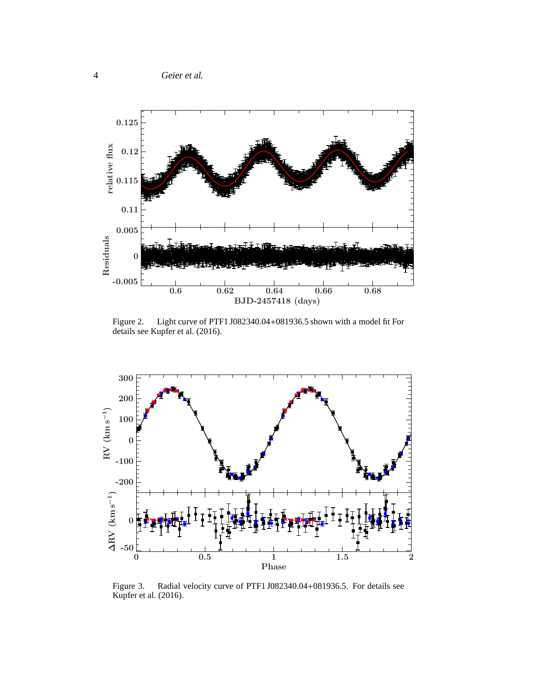

Figure 2. Light curve of PTF1 J082340.04+081936.5 shown with a model fit For details see Kupfer et al. (2016).



Figure 3. Radial velocity curve of PTF1 J082340.04+081936.5. For details see Kupfer et al. (2016).